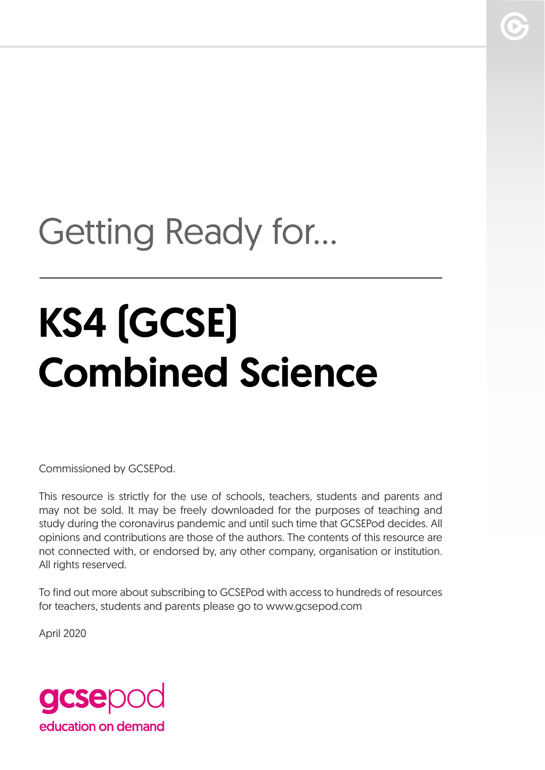# Getting Ready for...

# KS4 (GCSE) Combined Science

Commissioned by GCSEPod.

This resource is strictly for the use of schools, teachers, students and parents and may not be sold. It may be freely downloaded for the purposes of teaching and study during the coronavirus pandemic and until such time that GCSEPod decides. All opinions and contributions are those of the authors. The contents of this resource are not connected with, or endorsed by, any other company, organisation or institution. All rights reserved.

To find out more about subscribing to GCSEPod with access to hundreds of resources for teachers, students and parents please go to www.gcsepod.com

April 2020

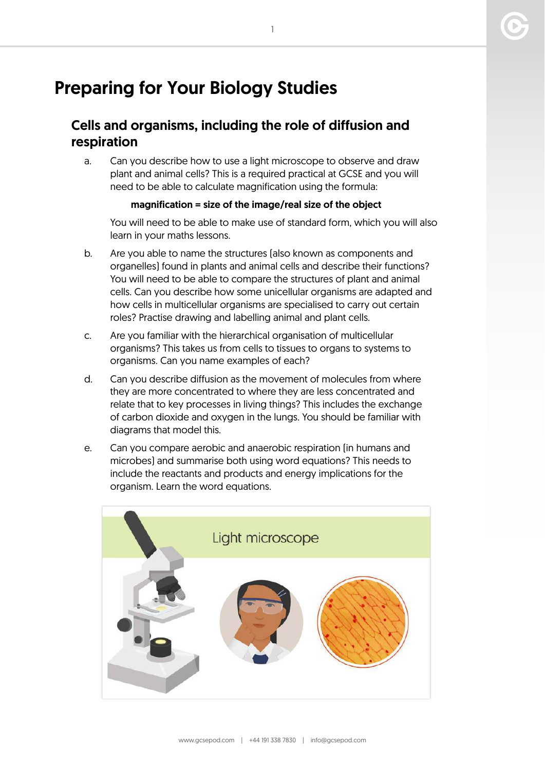# Preparing for Your Biology Studies

# Cells and organisms, including the role of diffusion and respiration

a. Can you describe how to use a light microscope to observe and draw plant and animal cells? This is a required practical at GCSE and you will need to be able to calculate magnification using the formula:

#### magnification = size of the image/real size of the object

You will need to be able to make use of standard form, which you will also learn in your maths lessons.

- b. Are you able to name the structures (also known as components and organelles) found in plants and animal cells and describe their functions? You will need to be able to compare the structures of plant and animal cells. Can you describe how some unicellular organisms are adapted and how cells in multicellular organisms are specialised to carry out certain roles? Practise drawing and labelling animal and plant cells.
- c. Are you familiar with the hierarchical organisation of multicellular organisms? This takes us from cells to tissues to organs to systems to organisms. Can you name examples of each?
- d. Can you describe diffusion as the movement of molecules from where they are more concentrated to where they are less concentrated and relate that to key processes in living things? This includes the exchange of carbon dioxide and oxygen in the lungs. You should be familiar with diagrams that model this.
- e. Can you compare aerobic and anaerobic respiration (in humans and microbes) and summarise both using word equations? This needs to include the reactants and products and energy implications for the organism. Learn the word equations.

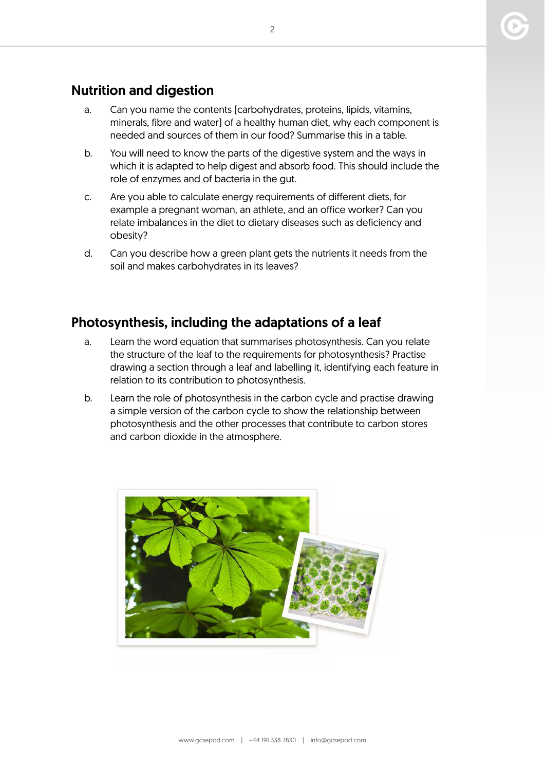# Nutrition and digestion

- a. Can you name the contents (carbohydrates, proteins, lipids, vitamins, minerals, fibre and water) of a healthy human diet, why each component is needed and sources of them in our food? Summarise this in a table.
- b. You will need to know the parts of the digestive system and the ways in which it is adapted to help digest and absorb food. This should include the role of enzymes and of bacteria in the gut.
- c. Are you able to calculate energy requirements of different diets, for example a pregnant woman, an athlete, and an office worker? Can you relate imbalances in the diet to dietary diseases such as deficiency and obesity?
- d. Can you describe how a green plant gets the nutrients it needs from the soil and makes carbohydrates in its leaves?

# Photosynthesis, including the adaptations of a leaf

- a. Learn the word equation that summarises photosynthesis. Can you relate the structure of the leaf to the requirements for photosynthesis? Practise drawing a section through a leaf and labelling it, identifying each feature in relation to its contribution to photosynthesis.
- b. Learn the role of photosynthesis in the carbon cycle and practise drawing a simple version of the carbon cycle to show the relationship between photosynthesis and the other processes that contribute to carbon stores and carbon dioxide in the atmosphere.

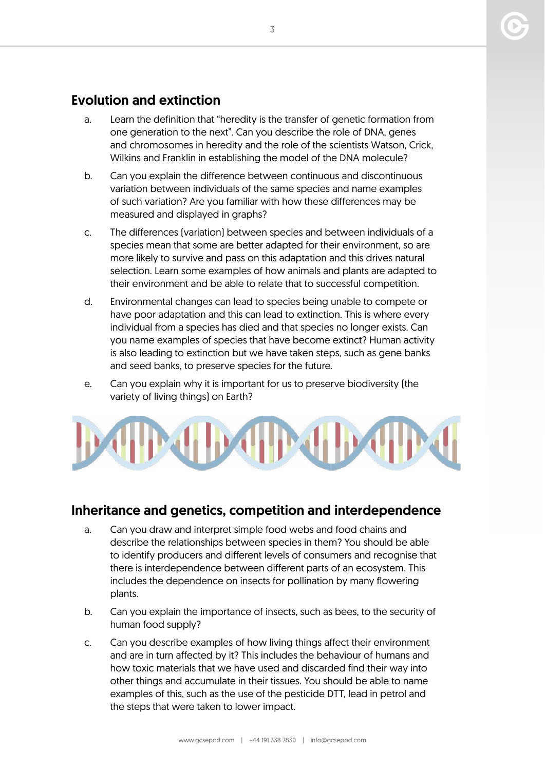# Evolution and extinction

- a. Learn the definition that "heredity is the transfer of genetic formation from one generation to the next". Can you describe the role of DNA, genes and chromosomes in heredity and the role of the scientists Watson, Crick, Wilkins and Franklin in establishing the model of the DNA molecule?
- b. Can you explain the difference between continuous and discontinuous variation between individuals of the same species and name examples of such variation? Are you familiar with how these differences may be measured and displayed in graphs?
- c. The differences (variation) between species and between individuals of a species mean that some are better adapted for their environment, so are more likely to survive and pass on this adaptation and this drives natural selection. Learn some examples of how animals and plants are adapted to their environment and be able to relate that to successful competition.
- d. Environmental changes can lead to species being unable to compete or have poor adaptation and this can lead to extinction. This is where every individual from a species has died and that species no longer exists. Can you name examples of species that have become extinct? Human activity is also leading to extinction but we have taken steps, such as gene banks and seed banks, to preserve species for the future.
- e. Can you explain why it is important for us to preserve biodiversity (the variety of living things) on Earth?



### Inheritance and genetics, competition and interdependence

- a. Can you draw and interpret simple food webs and food chains and describe the relationships between species in them? You should be able to identify producers and different levels of consumers and recognise that there is interdependence between different parts of an ecosystem. This includes the dependence on insects for pollination by many flowering plants.
- b. Can you explain the importance of insects, such as bees, to the security of human food supply?
- c. Can you describe examples of how living things affect their environment and are in turn affected by it? This includes the behaviour of humans and how toxic materials that we have used and discarded find their way into other things and accumulate in their tissues. You should be able to name examples of this, such as the use of the pesticide DTT, lead in petrol and the steps that were taken to lower impact.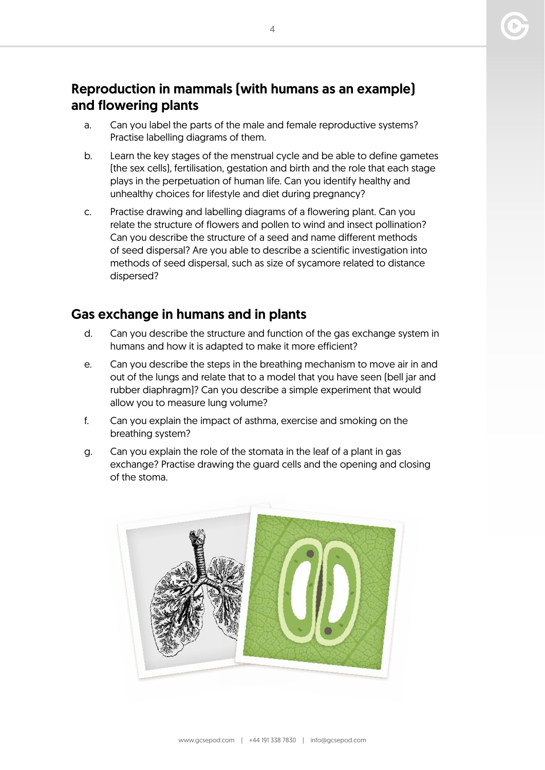# Reproduction in mammals (with humans as an example) and flowering plants

- a. Can you label the parts of the male and female reproductive systems? Practise labelling diagrams of them.
- b. Learn the key stages of the menstrual cycle and be able to define gametes (the sex cells), fertilisation, gestation and birth and the role that each stage plays in the perpetuation of human life. Can you identify healthy and unhealthy choices for lifestyle and diet during pregnancy?
- c. Practise drawing and labelling diagrams of a flowering plant. Can you relate the structure of flowers and pollen to wind and insect pollination? Can you describe the structure of a seed and name different methods of seed dispersal? Are you able to describe a scientific investigation into methods of seed dispersal, such as size of sycamore related to distance dispersed?

# Gas exchange in humans and in plants

- d. Can you describe the structure and function of the gas exchange system in humans and how it is adapted to make it more efficient?
- e. Can you describe the steps in the breathing mechanism to move air in and out of the lungs and relate that to a model that you have seen (bell jar and rubber diaphragm)? Can you describe a simple experiment that would allow you to measure lung volume?
- f. Can you explain the impact of asthma, exercise and smoking on the breathing system?
- g. Can you explain the role of the stomata in the leaf of a plant in gas exchange? Practise drawing the guard cells and the opening and closing of the stoma.

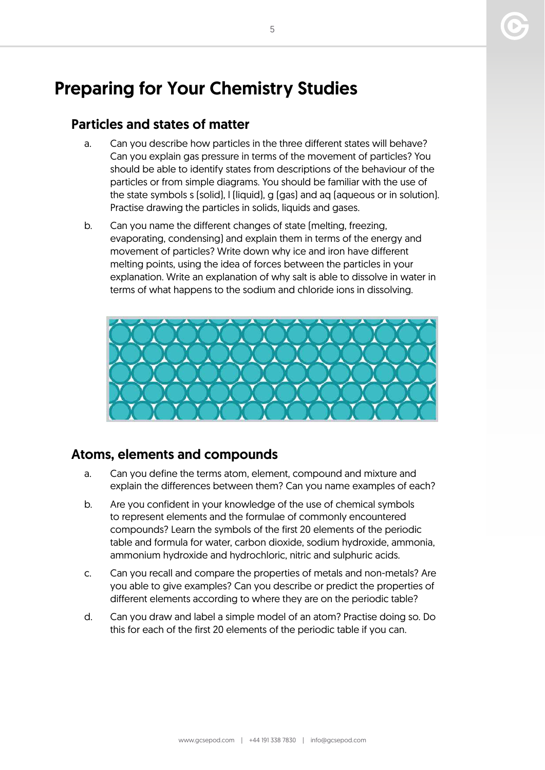# Preparing for Your Chemistry Studies

### Particles and states of matter

- a. Can you describe how particles in the three different states will behave? Can you explain gas pressure in terms of the movement of particles? You should be able to identify states from descriptions of the behaviour of the particles or from simple diagrams. You should be familiar with the use of the state symbols s (solid), l (liquid), g (gas) and aq (aqueous or in solution). Practise drawing the particles in solids, liquids and gases.
- b. Can you name the different changes of state (melting, freezing, evaporating, condensing) and explain them in terms of the energy and movement of particles? Write down why ice and iron have different melting points, using the idea of forces between the particles in your explanation. Write an explanation of why salt is able to dissolve in water in terms of what happens to the sodium and chloride ions in dissolving.



# Atoms, elements and compounds

- a. Can you define the terms atom, element, compound and mixture and explain the differences between them? Can you name examples of each?
- b. Are you confident in your knowledge of the use of chemical symbols to represent elements and the formulae of commonly encountered compounds? Learn the symbols of the first 20 elements of the periodic table and formula for water, carbon dioxide, sodium hydroxide, ammonia, ammonium hydroxide and hydrochloric, nitric and sulphuric acids.
- c. Can you recall and compare the properties of metals and non-metals? Are you able to give examples? Can you describe or predict the properties of different elements according to where they are on the periodic table?
- d. Can you draw and label a simple model of an atom? Practise doing so. Do this for each of the first 20 elements of the periodic table if you can.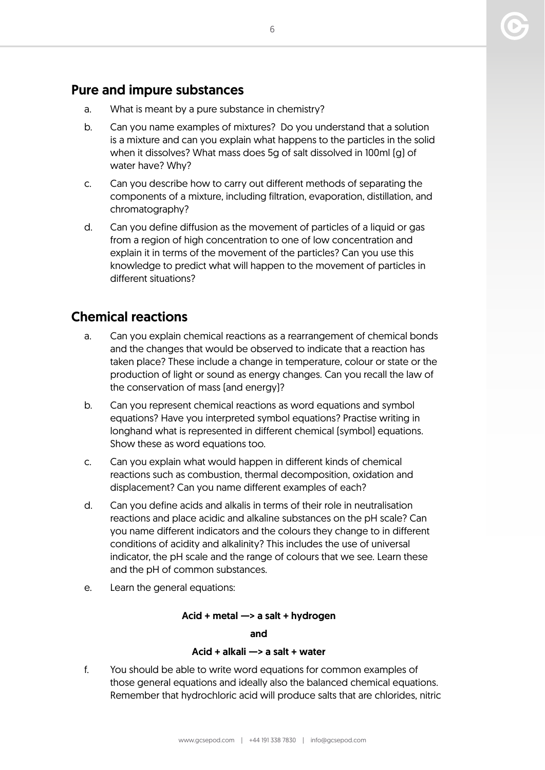# Pure and impure substances

- a. What is meant by a pure substance in chemistry?
- b. Can you name examples of mixtures? Do you understand that a solution is a mixture and can you explain what happens to the particles in the solid when it dissolves? What mass does 5g of salt dissolved in 100ml (g) of water have? Why?
- c. Can you describe how to carry out different methods of separating the components of a mixture, including filtration, evaporation, distillation, and chromatography?
- d. Can you define diffusion as the movement of particles of a liquid or gas from a region of high concentration to one of low concentration and explain it in terms of the movement of the particles? Can you use this knowledge to predict what will happen to the movement of particles in different situations?

# Chemical reactions

- a. Can you explain chemical reactions as a rearrangement of chemical bonds and the changes that would be observed to indicate that a reaction has taken place? These include a change in temperature, colour or state or the production of light or sound as energy changes. Can you recall the law of the conservation of mass (and energy)?
- b. Can you represent chemical reactions as word equations and symbol equations? Have you interpreted symbol equations? Practise writing in longhand what is represented in different chemical (symbol) equations. Show these as word equations too.
- c. Can you explain what would happen in different kinds of chemical reactions such as combustion, thermal decomposition, oxidation and displacement? Can you name different examples of each?
- d. Can you define acids and alkalis in terms of their role in neutralisation reactions and place acidic and alkaline substances on the pH scale? Can you name different indicators and the colours they change to in different conditions of acidity and alkalinity? This includes the use of universal indicator, the pH scale and the range of colours that we see. Learn these and the pH of common substances.
- e. Learn the general equations:

#### Acid + metal —> a salt + hydrogen

and

#### Acid + alkali —> a salt + water

f. You should be able to write word equations for common examples of those general equations and ideally also the balanced chemical equations. Remember that hydrochloric acid will produce salts that are chlorides, nitric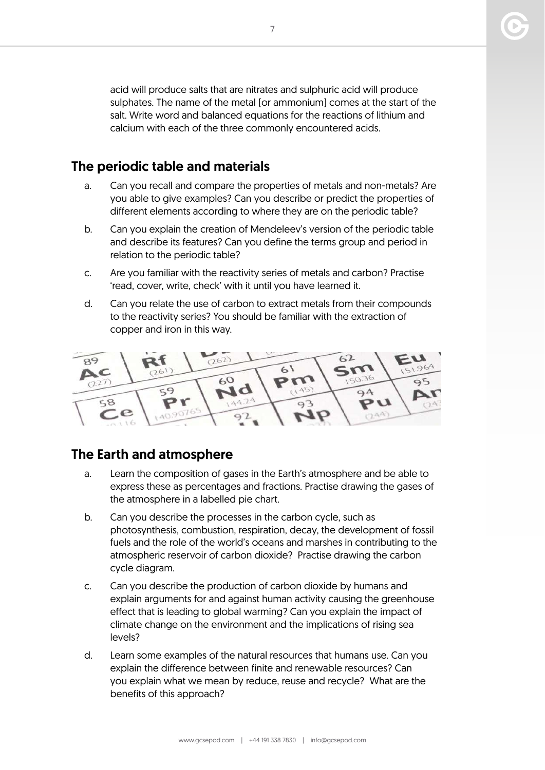acid will produce salts that are nitrates and sulphuric acid will produce sulphates. The name of the metal (or ammonium) comes at the start of the salt. Write word and balanced equations for the reactions of lithium and calcium with each of the three commonly encountered acids.

# The periodic table and materials

- a. Can you recall and compare the properties of metals and non-metals? Are you able to give examples? Can you describe or predict the properties of different elements according to where they are on the periodic table?
- b. Can you explain the creation of Mendeleev's version of the periodic table and describe its features? Can you define the terms group and period in relation to the periodic table?
- c. Are you familiar with the reactivity series of metals and carbon? Practise 'read, cover, write, check' with it until you have learned it.
- d. Can you relate the use of carbon to extract metals from their compounds to the reactivity series? You should be familiar with the extraction of copper and iron in this way.



# The Earth and atmosphere

- a. Learn the composition of gases in the Earth's atmosphere and be able to express these as percentages and fractions. Practise drawing the gases of the atmosphere in a labelled pie chart.
- b. Can you describe the processes in the carbon cycle, such as photosynthesis, combustion, respiration, decay, the development of fossil fuels and the role of the world's oceans and marshes in contributing to the atmospheric reservoir of carbon dioxide? Practise drawing the carbon cycle diagram.
- c. Can you describe the production of carbon dioxide by humans and explain arguments for and against human activity causing the greenhouse effect that is leading to global warming? Can you explain the impact of climate change on the environment and the implications of rising sea levels?
- d. Learn some examples of the natural resources that humans use. Can you explain the difference between finite and renewable resources? Can you explain what we mean by reduce, reuse and recycle? What are the benefits of this approach?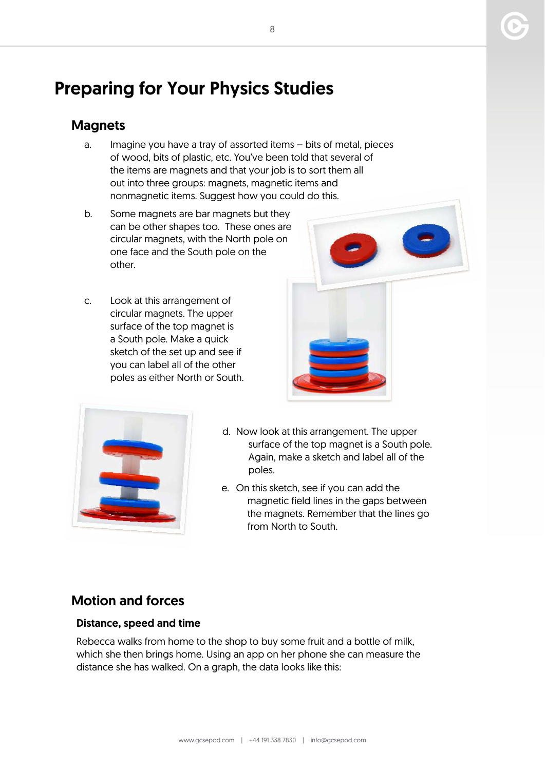# Preparing for Your Physics Studies

# **Magnets**

- a. Imagine you have a tray of assorted items bits of metal, pieces of wood, bits of plastic, etc. You've been told that several of the items are magnets and that your job is to sort them all out into three groups: magnets, magnetic items and nonmagnetic items. Suggest how you could do this.
- b. Some magnets are bar magnets but they can be other shapes too. These ones are circular magnets, with the North pole on one face and the South pole on the other.
- c. Look at this arrangement of circular magnets. The upper surface of the top magnet is a South pole. Make a quick sketch of the set up and see if you can label all of the other poles as either North or South.





- d. Now look at this arrangement. The upper surface of the top magnet is a South pole. Again, make a sketch and label all of the poles.
- e. On this sketch, see if you can add the magnetic field lines in the gaps between the magnets. Remember that the lines go from North to South.

# Motion and forces

#### Distance, speed and time

Rebecca walks from home to the shop to buy some fruit and a bottle of milk, which she then brings home. Using an app on her phone she can measure the distance she has walked. On a graph, the data looks like this: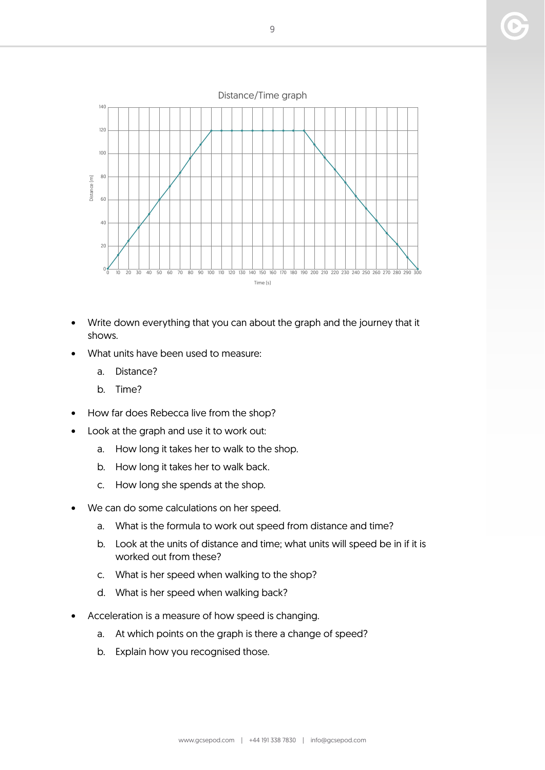

- Write down everything that you can about the graph and the journey that it shows.
- What units have been used to measure:
	- a. Distance?
	- b. Time?
- How far does Rebecca live from the shop?
- Look at the graph and use it to work out:
	- a. How long it takes her to walk to the shop.
	- b. How long it takes her to walk back.
	- c. How long she spends at the shop.
- We can do some calculations on her speed.
	- a. What is the formula to work out speed from distance and time?
	- b. Look at the units of distance and time; what units will speed be in if it is worked out from these?
	- c. What is her speed when walking to the shop?
	- d. What is her speed when walking back?
- Acceleration is a measure of how speed is changing.
	- a. At which points on the graph is there a change of speed?
	- b. Explain how you recognised those.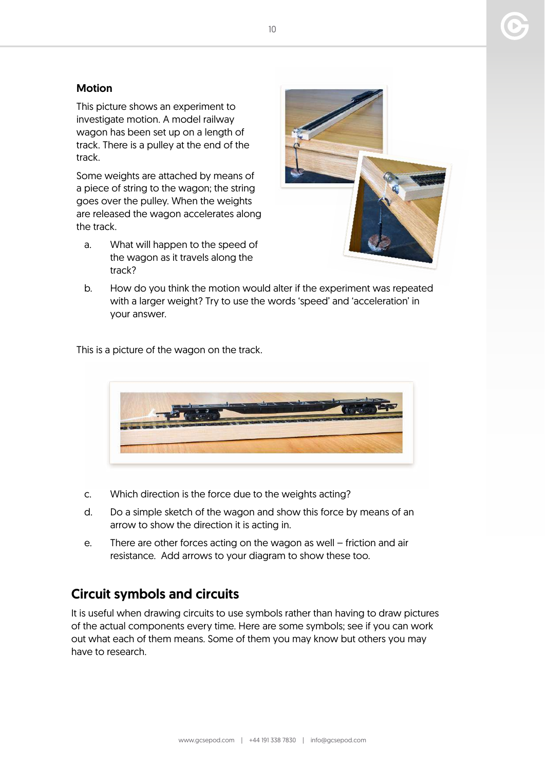#### Motion

This picture shows an experiment to investigate motion. A model railway wagon has been set up on a length of track. There is a pulley at the end of the track.

Some weights are attached by means of a piece of string to the wagon; the string goes over the pulley. When the weights are released the wagon accelerates along the track.

a. What will happen to the speed of the wagon as it travels along the track?



b. How do you think the motion would alter if the experiment was repeated with a larger weight? Try to use the words 'speed' and 'acceleration' in your answer.

This is a picture of the wagon on the track.



- c. Which direction is the force due to the weights acting?
- d. Do a simple sketch of the wagon and show this force by means of an arrow to show the direction it is acting in.
- e. There are other forces acting on the wagon as well friction and air resistance. Add arrows to your diagram to show these too.

# Circuit symbols and circuits

It is useful when drawing circuits to use symbols rather than having to draw pictures of the actual components every time. Here are some symbols; see if you can work out what each of them means. Some of them you may know but others you may have to research.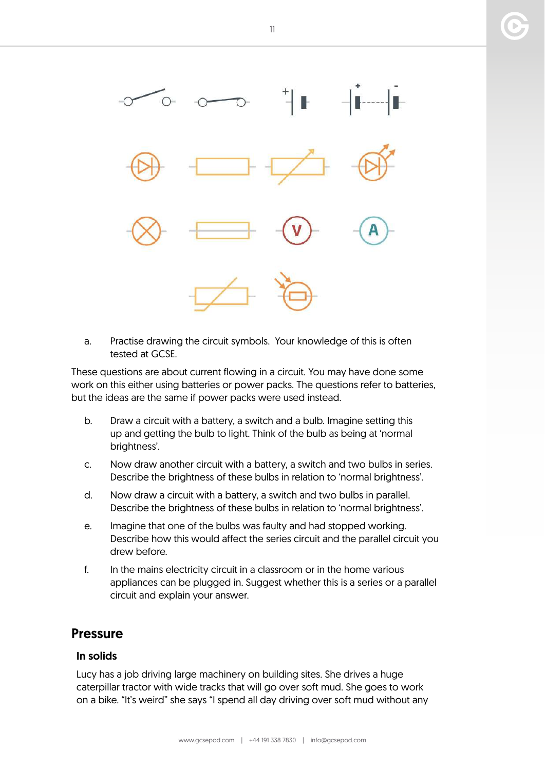

a. Practise drawing the circuit symbols. Your knowledge of this is often tested at GCSE.

These questions are about current flowing in a circuit. You may have done some work on this either using batteries or power packs. The questions refer to batteries, but the ideas are the same if power packs were used instead.

- b. Draw a circuit with a battery, a switch and a bulb. Imagine setting this up and getting the bulb to light. Think of the bulb as being at 'normal brightness'.
- c. Now draw another circuit with a battery, a switch and two bulbs in series. Describe the brightness of these bulbs in relation to 'normal brightness'.
- d. Now draw a circuit with a battery, a switch and two bulbs in parallel. Describe the brightness of these bulbs in relation to 'normal brightness'.
- e. Imagine that one of the bulbs was faulty and had stopped working. Describe how this would affect the series circuit and the parallel circuit you drew before.
- f. In the mains electricity circuit in a classroom or in the home various appliances can be plugged in. Suggest whether this is a series or a parallel circuit and explain your answer.

#### Pressure

#### In solids

Lucy has a job driving large machinery on building sites. She drives a huge caterpillar tractor with wide tracks that will go over soft mud. She goes to work on a bike. "It's weird" she says "I spend all day driving over soft mud without any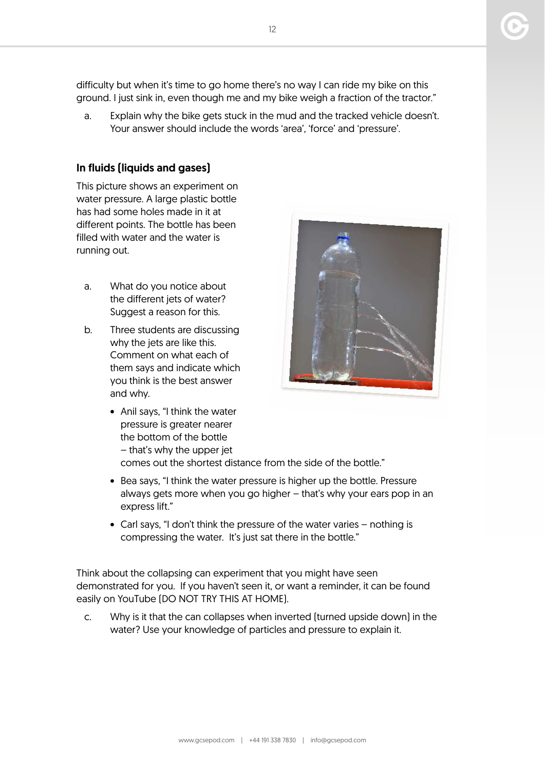www.gcsepod.com | +44 191 338 7830 | info@gcsepod.com

difficulty but when it's time to go home there's no way I can ride my bike on this

- ground. I just sink in, even though me and my bike weigh a fraction of the tractor." a. Explain why the bike gets stuck in the mud and the tracked vehicle doesn't.
	- Your answer should include the words 'area', 'force' and 'pressure'.

#### In fluids (liquids and gases)

This picture shows an experiment on water pressure. A large plastic bottle has had some holes made in it at different points. The bottle has been filled with water and the water is running out.

- a. What do you notice about the different jets of water? Suggest a reason for this.
- b. Three students are discussing why the jets are like this. Comment on what each of them says and indicate which you think is the best answer and why.
	- Anil says, "I think the water pressure is greater nearer the bottom of the bottle – that's why the upper jet
		- comes out the shortest distance from the side of the bottle."
	- Bea says, "I think the water pressure is higher up the bottle. Pressure always gets more when you go higher – that's why your ears pop in an express lift."
	- Carl says, "I don't think the pressure of the water varies nothing is compressing the water. It's just sat there in the bottle."

Think about the collapsing can experiment that you might have seen demonstrated for you. If you haven't seen it, or want a reminder, it can be found easily on YouTube (DO NOT TRY THIS AT HOME).

c. Why is it that the can collapses when inverted (turned upside down) in the water? Use your knowledge of particles and pressure to explain it.

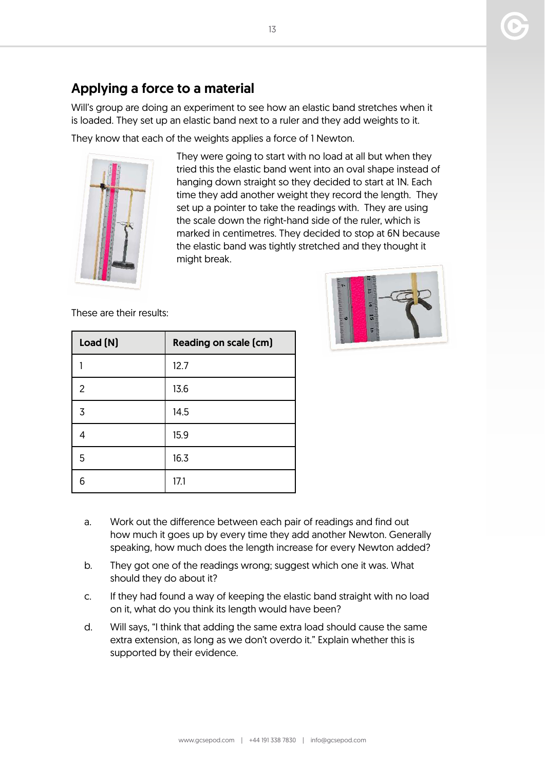# Applying a force to a material

Will's group are doing an experiment to see how an elastic band stretches when it is loaded. They set up an elastic band next to a ruler and they add weights to it.

They know that each of the weights applies a force of 1 Newton.



They were going to start with no load at all but when they tried this the elastic band went into an oval shape instead of hanging down straight so they decided to start at 1N. Each time they add another weight they record the length. They set up a pointer to take the readings with. They are using the scale down the right-hand side of the ruler, which is marked in centimetres. They decided to stop at 6N because the elastic band was tightly stretched and they thought it might break.

These are their results:

| Load (N) | <b>Reading on scale (cm)</b> |
|----------|------------------------------|
|          | 12.7                         |
| 2        | 13.6                         |
| 3        | 14.5                         |
|          | 15.9                         |
| 5        | 16.3                         |
| 6        | 17.1                         |



- a. Work out the difference between each pair of readings and find out how much it goes up by every time they add another Newton. Generally speaking, how much does the length increase for every Newton added?
- b. They got one of the readings wrong; suggest which one it was. What should they do about it?
- c. If they had found a way of keeping the elastic band straight with no load on it, what do you think its length would have been?
- d. Will says, "I think that adding the same extra load should cause the same extra extension, as long as we don't overdo it." Explain whether this is supported by their evidence.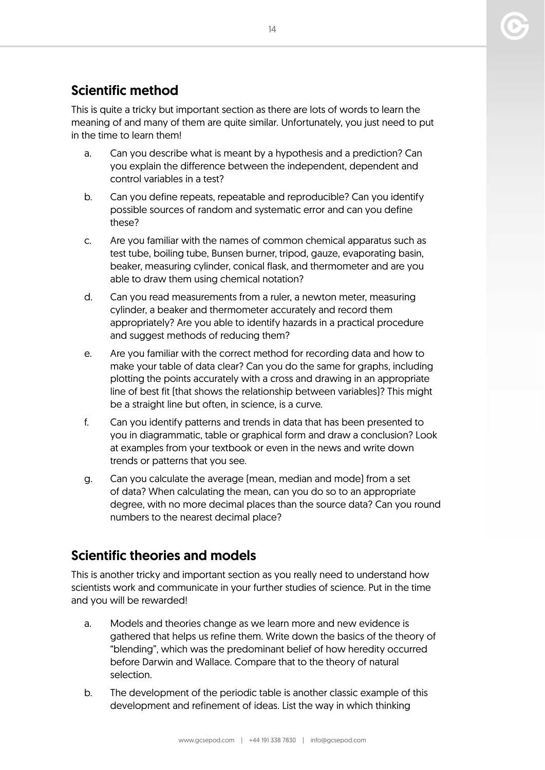# Scientific method

This is quite a tricky but important section as there are lots of words to learn the meaning of and many of them are quite similar. Unfortunately, you just need to put in the time to learn them!

- a. Can you describe what is meant by a hypothesis and a prediction? Can you explain the difference between the independent, dependent and control variables in a test?
- b. Can you define repeats, repeatable and reproducible? Can you identify possible sources of random and systematic error and can you define these?
- c. Are you familiar with the names of common chemical apparatus such as test tube, boiling tube, Bunsen burner, tripod, gauze, evaporating basin, beaker, measuring cylinder, conical flask, and thermometer and are you able to draw them using chemical notation?
- d. Can you read measurements from a ruler, a newton meter, measuring cylinder, a beaker and thermometer accurately and record them appropriately? Are you able to identify hazards in a practical procedure and suggest methods of reducing them?
- e. Are you familiar with the correct method for recording data and how to make your table of data clear? Can you do the same for graphs, including plotting the points accurately with a cross and drawing in an appropriate line of best fit (that shows the relationship between variables)? This might be a straight line but often, in science, is a curve.
- f. Can you identify patterns and trends in data that has been presented to you in diagrammatic, table or graphical form and draw a conclusion? Look at examples from your textbook or even in the news and write down trends or patterns that you see.
- g. Can you calculate the average (mean, median and mode) from a set of data? When calculating the mean, can you do so to an appropriate degree, with no more decimal places than the source data? Can you round numbers to the nearest decimal place?

# Scientific theories and models

This is another tricky and important section as you really need to understand how scientists work and communicate in your further studies of science. Put in the time and you will be rewarded!

- a. Models and theories change as we learn more and new evidence is gathered that helps us refine them. Write down the basics of the theory of "blending", which was the predominant belief of how heredity occurred before Darwin and Wallace. Compare that to the theory of natural selection.
- b. The development of the periodic table is another classic example of this development and refinement of ideas. List the way in which thinking